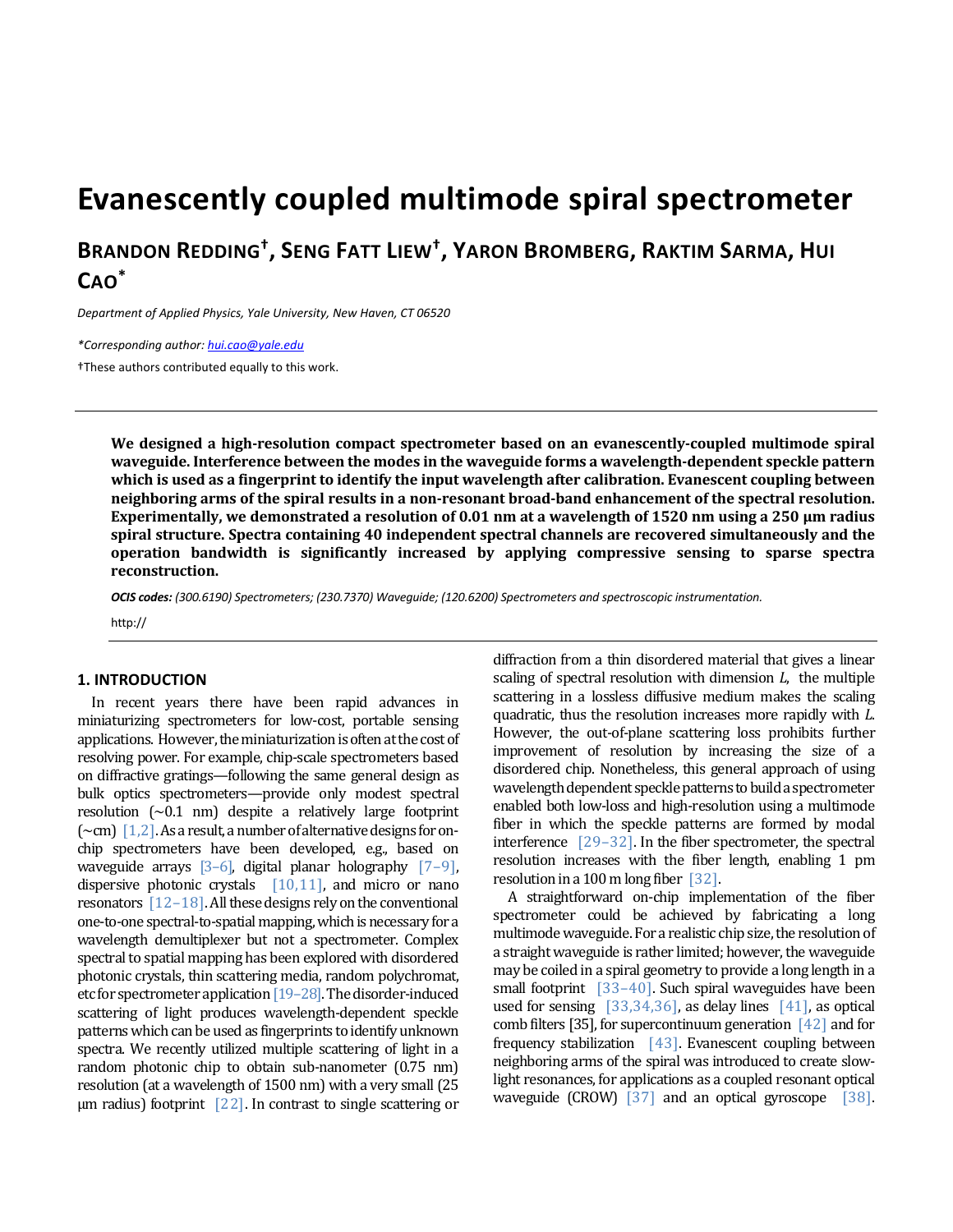# **Evanescently coupled multimode spiral spectrometer**

**BRANDON REDDING† , SENG FATT LIEW† , YARON BROMBERG, RAKTIM SARMA, HUI CAO\***

*Department of Applied Physics, Yale University, New Haven, CT 06520*

*\*Corresponding author: hui.cao@yale.edu* 

†These authors contributed equally to this work.

**We designed a high‐resolution compact spectrometer based on an evanescently‐coupled multimode spiral waveguide. Interference between the modes in the waveguide forms a wavelength‐dependent speckle pattern which is used as a fingerprint to identify the input wavelength after calibration. Evanescent coupling between** neighboring arms of the spiral results in a non-resonant broad-band enhancement of the spectral resolution. Experimentally, we demonstrated a resolution of 0.01 nm at a wavelength of 1520 nm using a 250  $\mu$ m radius **spiral structure. Spectra containing 40 independent spectral channels are recovered simultaneously and the operation bandwidth is significantly increased by applying compressive sensing to sparse spectra**  $reconstruction.$ 

*OCIS codes: (300.6190) Spectrometers; (230.7370) Waveguide; (120.6200) Spectrometers and spectroscopic instrumentation.* 

http://

# **1. INTRODUCTION**

In recent years there have been rapid advances in miniaturizing spectrometers for low-cost, portable sensing applications. However, the miniaturization is often at the cost of resolving power. For example, chip-scale spectrometers based on diffractive gratings—following the same general design as bulk optics spectrometers—provide only modest spectral resolution  $({\sim}0.1 \text{ nm})$  despite a relatively large footprint  $(\sim$ cm)  $[1,2]$ . As a result, a number of alternative designs for onchip spectrometers have been developed, e.g., based on waveguide arrays  $[3-6]$ , digital planar holography  $[7-9]$ , dispersive photonic crystals  $[10,11]$ , and micro or nano resonators  $[12-18]$ . All these designs rely on the conventional one-to-one spectral-to-spatial mapping, which is necessary for a wavelength demultiplexer but not a spectrometer. Complex spectral to spatial mapping has been explored with disordered photonic crystals, thin scattering media, random polychromat, etc for spectrometer application [19–28]. The disorder-induced scattering of light produces wavelength-dependent speckle patterns which can be used as fingerprints to identify unknown spectra. We recently utilized multiple scattering of light in a random photonic chip to obtain sub-nanometer (0.75 nm) resolution (at a wavelength of 1500 nm) with a very small (25  $\mu$ m radius) footprint [22]. In contrast to single scattering or

diffraction from a thin disordered material that gives a linear scaling of spectral resolution with dimension  $L$ , the multiple scattering in a lossless diffusive medium makes the scaling quadratic, thus the resolution increases more rapidly with *L*. However, the out-of-plane scattering loss prohibits further improvement of resolution by increasing the size of a disordered chip. Nonetheless, this general approach of using wavelength dependent speckle patterns to build a spectrometer enabled both low-loss and high-resolution using a multimode fiber in which the speckle patterns are formed by modal interference  $\left[29-32\right]$ . In the fiber spectrometer, the spectral resolution increases with the fiber length, enabling 1 pm resolution in a 100 m long fiber  $\lceil 32 \rceil$ .

A straightforward on-chip implementation of the fiber spectrometer could be achieved by fabricating a long multimode waveguide. For a realistic chip size, the resolution of a straight waveguide is rather limited; however, the waveguide may be coiled in a spiral geometry to provide a long length in a small footprint  $[33-40]$ . Such spiral waveguides have been used for sensing  $\left[ 33,34,36 \right]$ , as delay lines  $\left[ 41 \right]$ , as optical comb filters [35], for supercontinuum generation  $\lceil 42 \rceil$  and for frequency stabilization  $[43]$ . Evanescent coupling between neighboring arms of the spiral was introduced to create slowlight resonances, for applications as a coupled resonant optical waveguide  $(CROW)$  [37] and an optical gyroscope [38].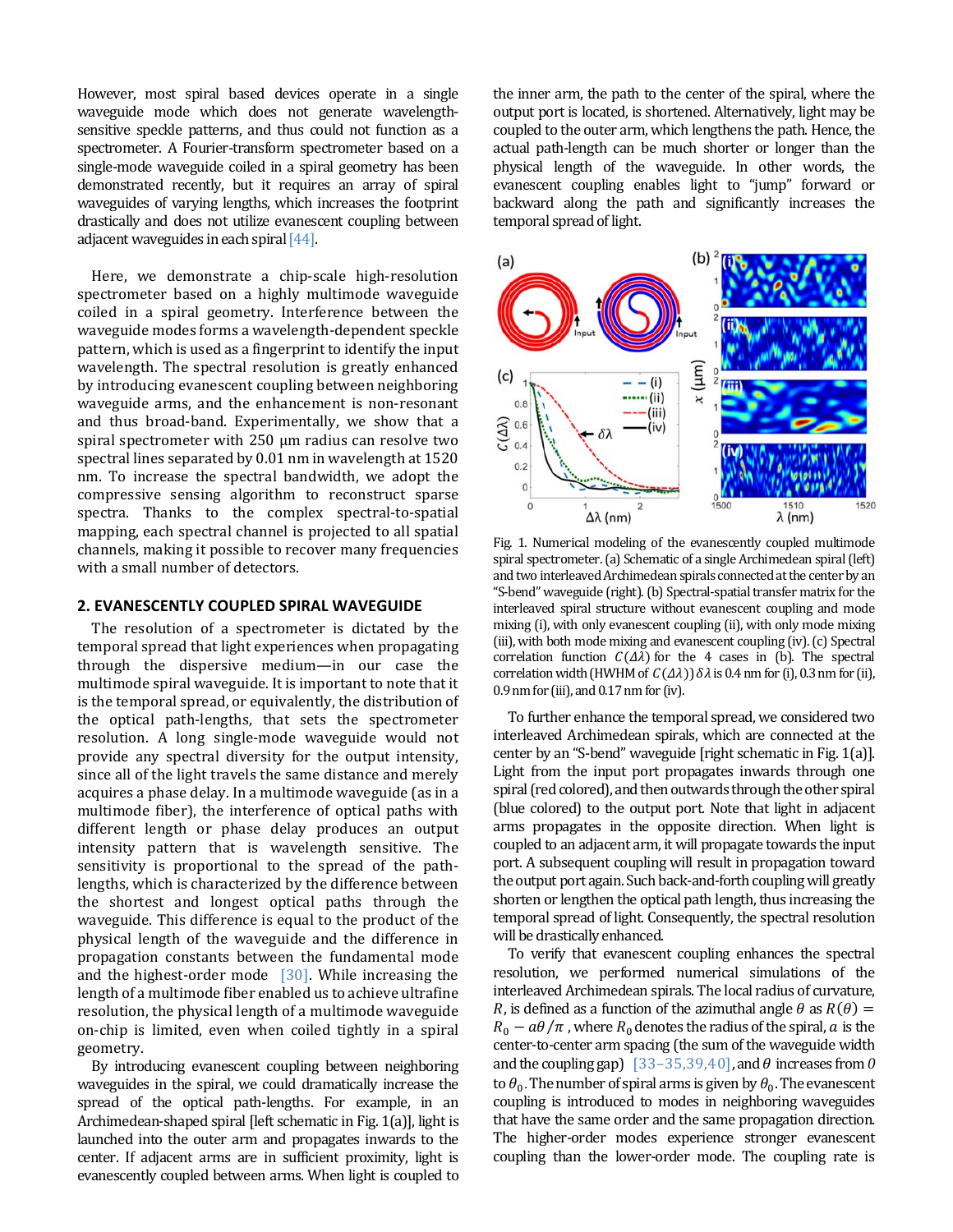However, most spiral based devices operate in a single waveguide mode which does not generate wavelengthsensitive speckle patterns, and thus could not function as a spectrometer. A Fourier-transform spectrometer based on a single-mode waveguide coiled in a spiral geometry has been demonstrated recently, but it requires an array of spiral waveguides of varying lengths, which increases the footprint drastically and does not utilize evanescent coupling between adjacent waveguides in each spiral  $[44]$ .

Here, we demonstrate a chip-scale high-resolution spectrometer based on a highly multimode waveguide coiled in a spiral geometry. Interference between the waveguide modes forms a wavelength-dependent speckle pattern, which is used as a fingerprint to identify the input wavelength. The spectral resolution is greatly enhanced by introducing evanescent coupling between neighboring waveguide arms, and the enhancement is non-resonant and thus broad-band. Experimentally, we show that a spiral spectrometer with  $250 \mu m$  radius can resolve two spectral lines separated by 0.01 nm in wavelength at 1520 nm. To increase the spectral bandwidth, we adopt the compressive sensing algorithm to reconstruct sparse spectra. Thanks to the complex spectral-to-spatial mapping, each spectral channel is projected to all spatial channels, making it possible to recover many frequencies with a small number of detectors.

# **2. EVANESCENTLY COUPLED SPIRAL WAVEGUIDE**

The resolution of a spectrometer is dictated by the temporal spread that light experiences when propagating through the dispersive medium—in our case the multimode spiral waveguide. It is important to note that it is the temporal spread, or equivalently, the distribution of the optical path-lengths, that sets the spectrometer resolution. A long single-mode waveguide would not provide any spectral diversity for the output intensity, since all of the light travels the same distance and merely acquires a phase delay. In a multimode waveguide (as in a multimode fiber), the interference of optical paths with different length or phase delay produces an output intensity pattern that is wavelength sensitive. The sensitivity is proportional to the spread of the pathlengths, which is characterized by the difference between the shortest and longest optical paths through the waveguide. This difference is equal to the product of the physical length of the waveguide and the difference in propagation constants between the fundamental mode and the highest-order mode  $[30]$ . While increasing the length of a multimode fiber enabled us to achieve ultrafine resolution, the physical length of a multimode waveguide on-chip is limited, even when coiled tightly in a spiral geometry. 

By introducing evanescent coupling between neighboring waveguides in the spiral, we could dramatically increase the spread of the optical path-lengths. For example, in an Archimedean-shaped spiral [left schematic in Fig. 1(a)], light is launched into the outer arm and propagates inwards to the center. If adjacent arms are in sufficient proximity, light is evanescently coupled between arms. When light is coupled to

the inner arm, the path to the center of the spiral, where the output port is located, is shortened. Alternatively, light may be coupled to the outer arm, which lengthens the path. Hence, the actual path-length can be much shorter or longer than the physical length of the waveguide. In other words, the evanescent coupling enables light to "jump" forward or backward along the path and significantly increases the temporal spread of light.



Fig. 1. Numerical modeling of the evanescently coupled multimode spiral spectrometer. (a) Schematic of a single Archimedean spiral (left) and two interleaved Archimedean spirals connected at the center by an "S-bend" waveguide (right). (b) Spectral-spatial transfer matrix for the interleaved spiral structure without evanescent coupling and mode mixing (i), with only evanescent coupling (ii), with only mode mixing (iii), with both mode mixing and evanescent coupling (iv). (c) Spectral correlation function  $C(\Delta \lambda)$  for the 4 cases in (b). The spectral correlation width (HWHM of  $C(\Delta \lambda)$ )  $\delta \lambda$  is 0.4 nm for (i), 0.3 nm for (ii),  $0.9 \text{ nm}$  for (iii), and  $0.17 \text{ nm}$  for (iv).

To further enhance the temporal spread, we considered two interleaved Archimedean spirals, which are connected at the center by an "S-bend" waveguide [right schematic in Fig. 1(a)]. Light from the input port propagates inwards through one spiral (red colored), and then outwards through the other spiral (blue colored) to the output port. Note that light in adjacent arms propagates in the opposite direction. When light is coupled to an adjacent arm, it will propagate towards the input port. A subsequent coupling will result in propagation toward the output port again. Such back-and-forth coupling will greatly shorten or lengthen the optical path length, thus increasing the temporal spread of light. Consequently, the spectral resolution will be drastically enhanced.

To verify that evanescent coupling enhances the spectral resolution, we performed numerical simulations of the interleaved Archimedean spirals. The local radius of curvature, *R*, is defined as a function of the azimuthal angle  $\theta$  as  $R(\theta) =$  $R_0 - a\theta/\pi$ , where  $R_0$  denotes the radius of the spiral,  $a$  is the center-to-center arm spacing (the sum of the waveguide width and the coupling gap)  $[33-35,39,40]$ , and  $\theta$  increases from  $\theta$ to  $\theta_0$ . The number of spiral arms is given by  $\theta_0$ . The evanescent coupling is introduced to modes in neighboring waveguides that have the same order and the same propagation direction. The higher-order modes experience stronger evanescent coupling than the lower-order mode. The coupling rate is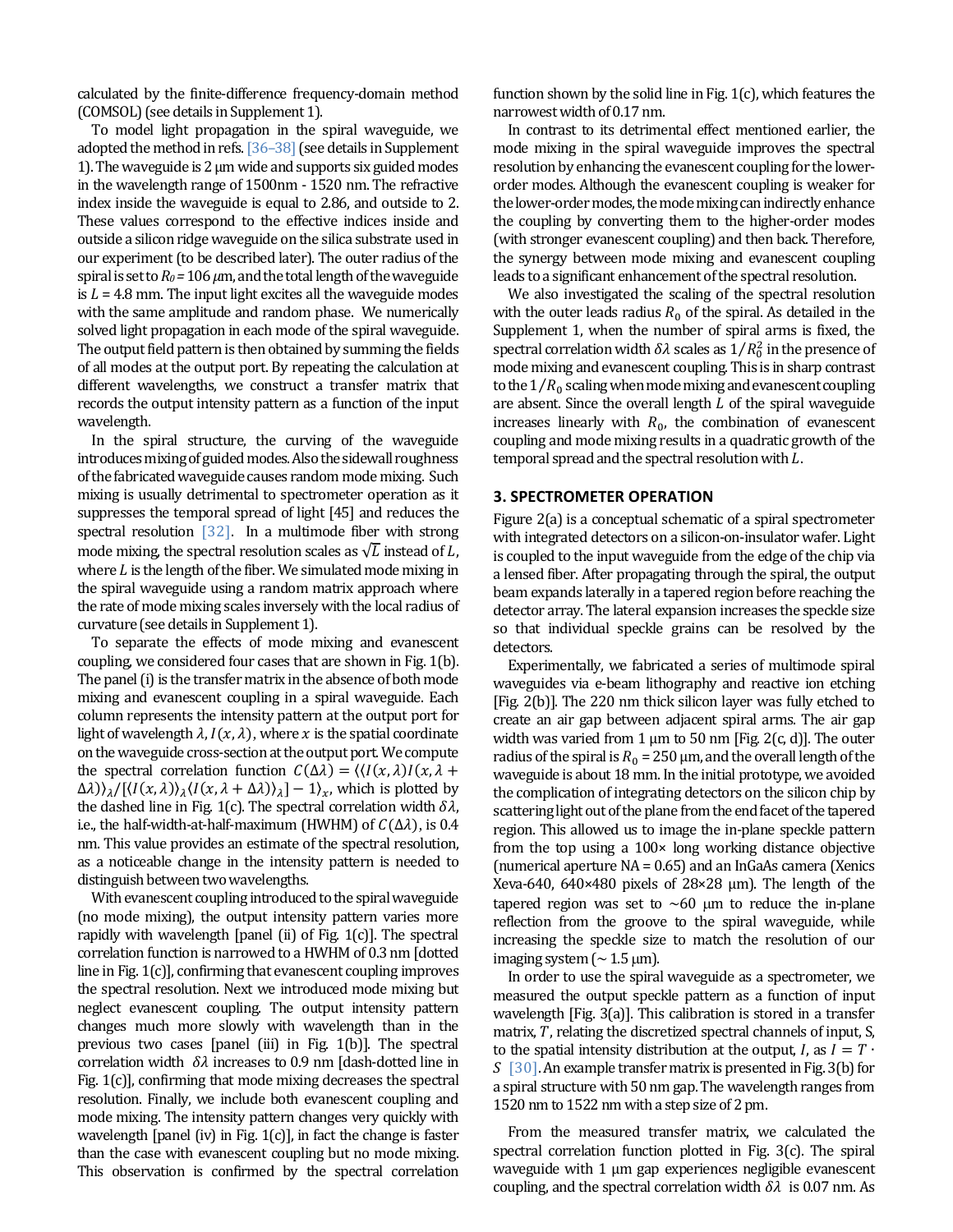calculated by the finite-difference frequency-domain method (COMSOL) (see details in Supplement 1).

To model light propagation in the spiral waveguide, we adopted the method in refs.  $[36-38]$  (see details in Supplement 1). The waveguide is  $2 \mu m$  wide and supports six guided modes in the wavelength range of 1500nm - 1520 nm. The refractive index inside the waveguide is equal to 2.86, and outside to 2. These values correspond to the effective indices inside and outside a silicon ridge waveguide on the silica substrate used in our experiment (to be described later). The outer radius of the spiral is set to  $Ro = 106 \mu m$ , and the total length of the waveguide is  $L = 4.8$  mm. The input light excites all the waveguide modes with the same amplitude and random phase. We numerically solved light propagation in each mode of the spiral waveguide. The output field pattern is then obtained by summing the fields of all modes at the output port. By repeating the calculation at different wavelengths, we construct a transfer matrix that records the output intensity pattern as a function of the input wavelength. 

In the spiral structure, the curving of the waveguide introduces mixing of guided modes. Also the sidewall roughness of the fabricated waveguide causes random mode mixing. Such mixing is usually detrimental to spectrometer operation as it suppresses the temporal spread of light [45] and reduces the spectral resolution  $[32]$ . In a multimode fiber with strong mode mixing, the spectral resolution scales as  $\sqrt{L}$  instead of L. where  $L$  is the length of the fiber. We simulated mode mixing in the spiral waveguide using a random matrix approach where the rate of mode mixing scales inversely with the local radius of curvature (see details in Supplement 1).

To separate the effects of mode mixing and evanescent coupling, we considered four cases that are shown in Fig. 1(b). The panel (i) is the transfer matrix in the absence of both mode mixing and evanescent coupling in a spiral waveguide. Each column represents the intensity pattern at the output port for light of wavelength  $\lambda$ ,  $I(x, \lambda)$ , where x is the spatial coordinate on the waveguide cross-section at the output port. We compute the spectral correlation function  $C(\Delta \lambda) = \langle \langle I(x, \lambda)I(x, \lambda +$  $\Delta\lambda$ ) $_{\lambda}/[\langle I(x,\lambda)\rangle_{\lambda}\langle I(x,\lambda+\Delta\lambda)\rangle_{\lambda}]-1\rangle_{x}$ , which is plotted by the dashed line in Fig. 1(c). The spectral correlation width  $\delta \lambda$ , i.e., the half-width-at-half-maximum (HWHM) of  $C(\Delta \lambda)$ , is 0.4 nm. This value provides an estimate of the spectral resolution, as a noticeable change in the intensity pattern is needed to distinguish between two wavelengths.

With evanescent coupling introduced to the spiral waveguide (no mode mixing), the output intensity pattern varies more rapidly with wavelength [panel (ii) of Fig.  $1(c)$ ]. The spectral correlation function is narrowed to a HWHM of 0.3 nm [dotted] line in Fig.  $1(c)$ ], confirming that evanescent coupling improves the spectral resolution. Next we introduced mode mixing but neglect evanescent coupling. The output intensity pattern changes much more slowly with wavelength than in the previous two cases  $[panel (iii)$  in Fig.  $1(b)$ ]. The spectral correlation width  $\delta\lambda$  increases to 0.9 nm [dash-dotted line in Fig.  $1(c)$ ], confirming that mode mixing decreases the spectral resolution. Finally, we include both evanescent coupling and mode mixing. The intensity pattern changes very quickly with wavelength [panel (iv) in Fig.  $1(c)$ ], in fact the change is faster than the case with evanescent coupling but no mode mixing. This observation is confirmed by the spectral correlation function shown by the solid line in Fig.  $1(c)$ , which features the narrowest width of 0.17 nm.

In contrast to its detrimental effect mentioned earlier, the mode mixing in the spiral waveguide improves the spectral resolution by enhancing the evanescent coupling for the lowerorder modes. Although the evanescent coupling is weaker for the lower-order modes, the mode mixing can indirectly enhance the coupling by converting them to the higher-order modes (with stronger evanescent coupling) and then back. Therefore, the synergy between mode mixing and evanescent coupling leads to a significant enhancement of the spectral resolution.

We also investigated the scaling of the spectral resolution with the outer leads radius  $R_0$  of the spiral. As detailed in the Supplement 1, when the number of spiral arms is fixed, the spectral correlation width  $\delta\lambda$  scales as  $1/R_0^2$  in the presence of mode mixing and evanescent coupling. This is in sharp contrast to the  $1/R_0$  scaling when mode mixing and evanescent coupling are absent. Since the overall length  $L$  of the spiral waveguide increases linearly with  $R_0$ , the combination of evanescent coupling and mode mixing results in a quadratic growth of the temporal spread and the spectral resolution with  $L$ .

# **3. SPECTROMETER OPERATION**

Figure  $2(a)$  is a conceptual schematic of a spiral spectrometer with integrated detectors on a silicon-on-insulator wafer. Light is coupled to the input waveguide from the edge of the chip via a lensed fiber. After propagating through the spiral, the output beam expands laterally in a tapered region before reaching the detector array. The lateral expansion increases the speckle size so that individual speckle grains can be resolved by the detectors. 

Experimentally, we fabricated a series of multimode spiral waveguides via e-beam lithography and reactive ion etching [Fig. 2(b)]. The 220 nm thick silicon layer was fully etched to create an air gap between adjacent spiral arms. The air gap width was varied from 1  $\mu$ m to 50 nm [Fig. 2(c, d)]. The outer radius of the spiral is  $R_0 = 250 \mu m$ , and the overall length of the waveguide is about 18 mm. In the initial prototype, we avoided the complication of integrating detectors on the silicon chip by scattering light out of the plane from the end facet of the tapered region. This allowed us to image the in-plane speckle pattern from the top using a  $100 \times$  long working distance objective (numerical aperture  $NA = 0.65$ ) and an InGaAs camera (Xenics Xeva-640,  $640 \times 480$  pixels of  $28 \times 28$  µm). The length of the tapered region was set to  $~60~\mu m$  to reduce the in-plane reflection from the groove to the spiral waveguide, while increasing the speckle size to match the resolution of our imaging system  $($   $\sim$  1.5  $\mu$ m).

In order to use the spiral waveguide as a spectrometer, we measured the output speckle pattern as a function of input wavelength  $[Fig. 3(a)]$ . This calibration is stored in a transfer matrix,  $T$ , relating the discretized spectral channels of input,  $S$ , to the spatial intensity distribution at the output, I, as  $I = T \cdot$  $\overline{S}$  [30]. An example transfer matrix is presented in Fig. 3(b) for a spiral structure with 50 nm gap. The wavelength ranges from 1520 nm to 1522 nm with a step size of 2 pm.

From the measured transfer matrix, we calculated the spectral correlation function plotted in Fig.  $3(c)$ . The spiral waveguide with  $1 \mu m$  gap experiences negligible evanescent coupling, and the spectral correlation width  $\delta \lambda$  is 0.07 nm. As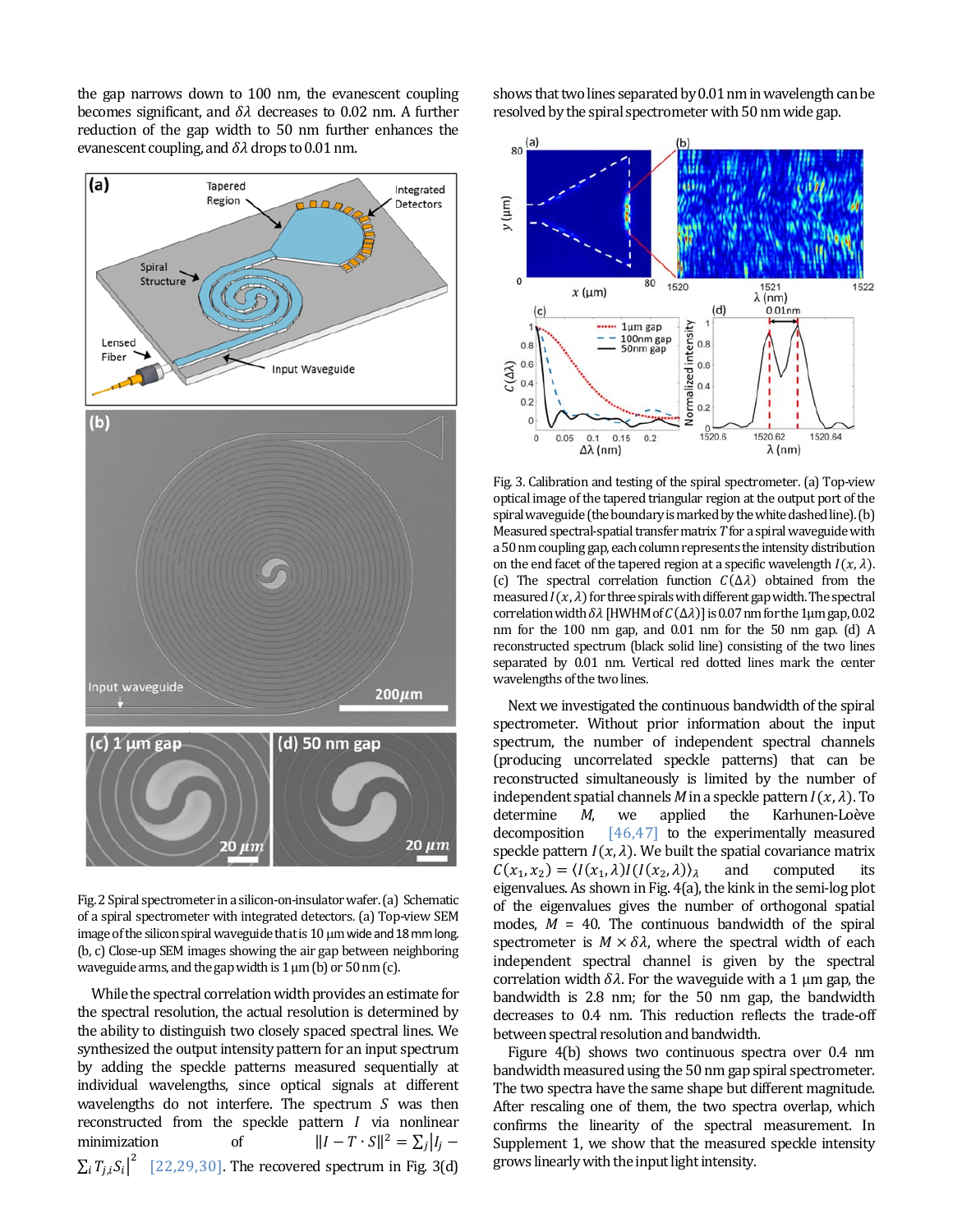the gap narrows down to  $100 \text{ nm}$ , the evanescent coupling becomes significant, and  $\delta \lambda$  decreases to 0.02 nm. A further reduction of the gap width to 50 nm further enhances the evanescent coupling, and  $\delta\lambda$  drops to 0.01 nm.



Fig. 2 Spiral spectrometer in a silicon-on-insulator wafer. (a) Schematic of a spiral spectrometer with integrated detectors. (a) Top-view SEM image of the silicon spiral waveguide that is  $10 \mu m$  wide and  $18 \text{ mm}$  long. (b, c) Close-up SEM images showing the air gap between neighboring waveguide arms, and the gap width is  $1 \mu m$  (b) or  $50 \text{ nm}$  (c).

While the spectral correlation width provides an estimate for the spectral resolution, the actual resolution is determined by the ability to distinguish two closely spaced spectral lines. We synthesized the output intensity pattern for an input spectrum by adding the speckle patterns measured sequentially at individual wavelengths, since optical signals at different wavelengths do not interfere. The spectrum  $S$  was then reconstructed from the speckle pattern  $I$  via nonlinear minimization of  $||I - T \cdot S||^2 = \sum_j |I_j - \hat{I}|^2$  $\sum_i T_{j,i} S_i \vert^2$  [22,29,30]. The recovered spectrum in Fig. 3(d) shows that two lines separated by 0.01 nm in wavelength can be resolved by the spiral spectrometer with 50 nm wide gap.



Fig. 3. Calibration and testing of the spiral spectrometer. (a) Top-view optical image of the tapered triangular region at the output port of the spiral waveguide (the boundary is marked by the white dashed line). (b) Measured spectral-spatial transfer matrix *T* for a spiral waveguide with a 50 nm coupling gap, each column represents the intensity distribution on the end facet of the tapered region at a specific wavelength  $I(x, \lambda)$ . (c) The spectral correlation function  $C(\Delta \lambda)$  obtained from the measured  $I(x, \lambda)$  for three spirals with different gap width. The spectral correlation width  $\delta\lambda$  [HWHM of  $C(\Delta\lambda)$ ] is 0.07 nm for the 1µm gap, 0.02 nm for the  $100$  nm gap, and  $0.01$  nm for the  $50$  nm gap. (d) A reconstructed spectrum (black solid line) consisting of the two lines separated by 0.01 nm. Vertical red dotted lines mark the center wavelengths of the two lines.

Next we investigated the continuous bandwidth of the spiral spectrometer. Without prior information about the input spectrum, the number of independent spectral channels (producing uncorrelated speckle patterns) that can be reconstructed simultaneously is limited by the number of independent spatial channels *M* in a speckle pattern  $I(x, \lambda)$ . To determine *M*, we applied the Karhunen-Loève decomposition  $[46,47]$  to the experimentally measured speckle pattern  $I(x, \lambda)$ . We built the spatial covariance matrix  $C(x_1, x_2) = \langle I(x_1, \lambda)I(I(x_2, \lambda)) \rangle$  and computed its eigenvalues. As shown in Fig. 4(a), the kink in the semi-log plot of the eigenvalues gives the number of orthogonal spatial modes,  $M = 40$ . The continuous bandwidth of the spiral spectrometer is  $M \times \delta \lambda$ , where the spectral width of each independent spectral channel is given by the spectral correlation width  $\delta \lambda$ . For the waveguide with a 1 µm gap, the bandwidth is  $2.8$  nm; for the  $50$  nm gap, the bandwidth decreases to 0.4 nm. This reduction reflects the trade-off between spectral resolution and bandwidth.

Figure  $4(b)$  shows two continuous spectra over 0.4 nm bandwidth measured using the 50 nm gap spiral spectrometer. The two spectra have the same shape but different magnitude. After rescaling one of them, the two spectra overlap, which confirms the linearity of the spectral measurement. In Supplement 1, we show that the measured speckle intensity grows linearly with the input light intensity.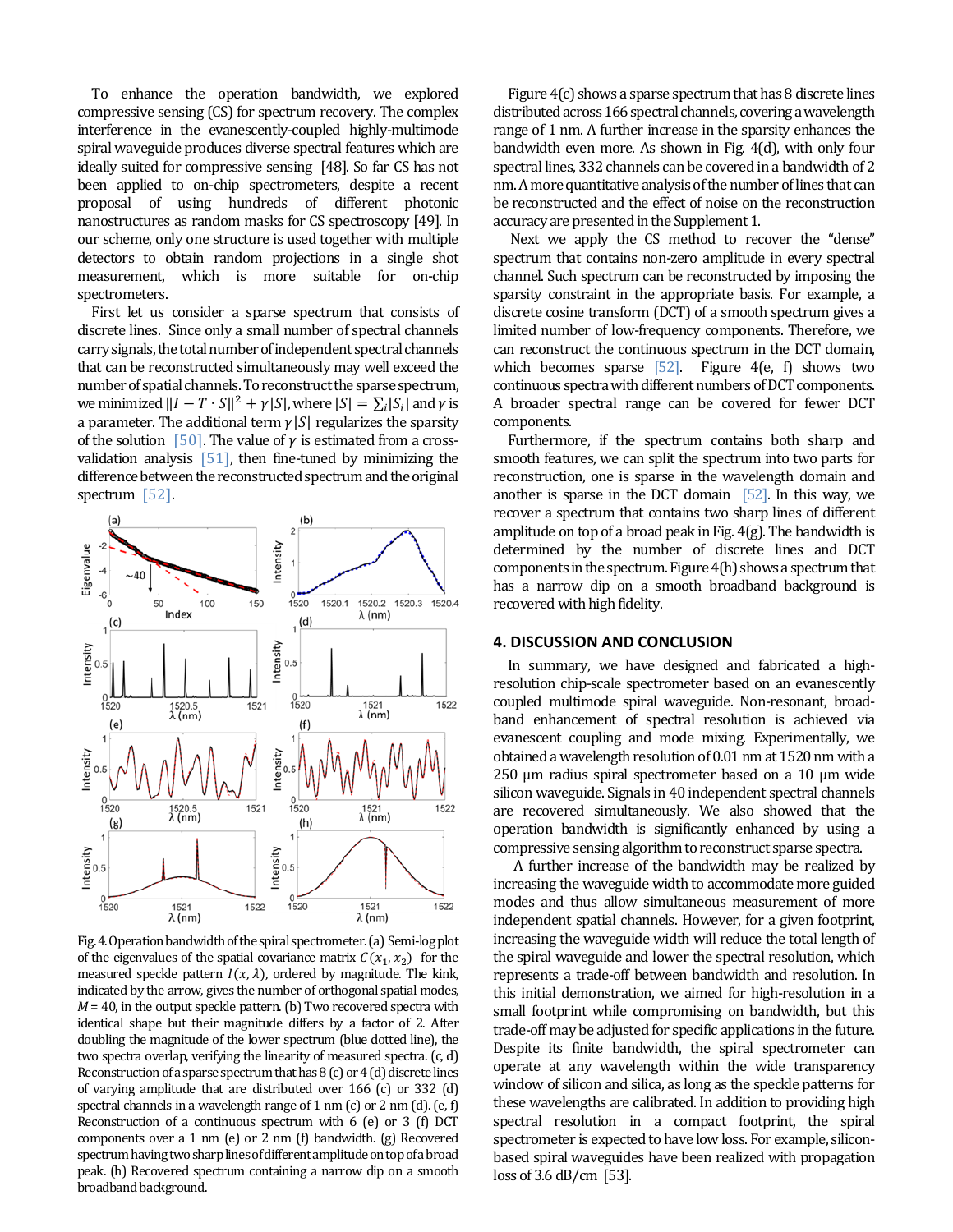To enhance the operation bandwidth, we explored compressive sensing (CS) for spectrum recovery. The complex interference in the evanescently-coupled highly-multimode spiral waveguide produces diverse spectral features which are ideally suited for compressive sensing [48]. So far CS has not been applied to on-chip spectrometers, despite a recent proposal of using hundreds of different photonic nanostructures as random masks for CS spectroscopy [49]. In our scheme, only one structure is used together with multiple detectors to obtain random projections in a single shot measurement, which is more suitable for on-chip spectrometers. 

First let us consider a sparse spectrum that consists of discrete lines. Since only a small number of spectral channels carry signals, the total number of independent spectral channels that can be reconstructed simultaneously may well exceed the number of spatial channels. To reconstruct the sparse spectrum, we minimized  $||I - T \cdot S||^2 + \gamma |S|$ , where  $|S| = \sum_i |S_i|$  and  $\gamma$  is a parameter. The additional term  $\gamma |S|$  regularizes the sparsity of the solution [50]. The value of  $\gamma$  is estimated from a crossvalidation analysis  $[51]$ , then fine-tuned by minimizing the difference between the reconstructed spectrum and the original spectrum  $[52]$ .



Fig. 4. Operation bandwidth of the spiral spectrometer. (a) Semi-log plot of the eigenvalues of the spatial covariance matrix  $C(x_1, x_2)$  for the measured speckle pattern  $I(x, \lambda)$ , ordered by magnitude. The kink, indicated by the arrow, gives the number of orthogonal spatial modes,  $M = 40$ , in the output speckle pattern. (b) Two recovered spectra with identical shape but their magnitude differs by a factor of 2. After doubling the magnitude of the lower spectrum (blue dotted line), the two spectra overlap, verifying the linearity of measured spectra. (c, d) Reconstruction of a sparse spectrum that has  $8$  (c) or  $4$  (d) discrete lines of varying amplitude that are distributed over  $166$  (c) or  $332$  (d) spectral channels in a wavelength range of 1 nm (c) or 2 nm (d). (e, f) Reconstruction of a continuous spectrum with  $6$  (e) or 3 (f) DCT components over a 1 nm (e) or 2 nm (f) bandwidth. (g) Recovered spectrum having two sharp lines of different amplitude on top of a broad peak. (h) Recovered spectrum containing a narrow dip on a smooth broadband background.

Figure  $4(c)$  shows a sparse spectrum that has 8 discrete lines distributed across 166 spectral channels, covering a wavelength range of 1 nm. A further increase in the sparsity enhances the bandwidth even more. As shown in Fig. 4(d), with only four spectral lines, 332 channels can be covered in a bandwidth of 2 nm. A more quantitative analysis of the number of lines that can be reconstructed and the effect of noise on the reconstruction accuracy are presented in the Supplement 1.

Next we apply the CS method to recover the "dense" spectrum that contains non-zero amplitude in every spectral channel. Such spectrum can be reconstructed by imposing the sparsity constraint in the appropriate basis. For example, a discrete cosine transform (DCT) of a smooth spectrum gives a limited number of low-frequency components. Therefore, we can reconstruct the continuous spectrum in the DCT domain, which becomes sparse  $[52]$ . Figure 4(e, f) shows two continuous spectra with different numbers of DCT components. A broader spectral range can be covered for fewer DCT components. 

Furthermore, if the spectrum contains both sharp and smooth features, we can split the spectrum into two parts for reconstruction, one is sparse in the wavelength domain and another is sparse in the DCT domain  $[52]$ . In this way, we recover a spectrum that contains two sharp lines of different amplitude on top of a broad peak in Fig.  $4(g)$ . The bandwidth is determined by the number of discrete lines and DCT components in the spectrum. Figure  $4(h)$  shows a spectrum that has a narrow dip on a smooth broadband background is recovered with high fidelity.

# **4. DISCUSSION AND CONCLUSION**

In summary, we have designed and fabricated a highresolution chip-scale spectrometer based on an evanescently coupled multimode spiral waveguide. Non-resonant, broadband enhancement of spectral resolution is achieved via evanescent coupling and mode mixing. Experimentally, we obtained a wavelength resolution of 0.01 nm at 1520 nm with a  $250 \mu m$  radius spiral spectrometer based on a 10 μm wide silicon waveguide. Signals in 40 independent spectral channels are recovered simultaneously. We also showed that the operation bandwidth is significantly enhanced by using a compressive sensing algorithm to reconstruct sparse spectra.

A further increase of the bandwidth may be realized by increasing the waveguide width to accommodate more guided modes and thus allow simultaneous measurement of more independent spatial channels. However, for a given footprint, increasing the waveguide width will reduce the total length of the spiral waveguide and lower the spectral resolution, which represents a trade-off between bandwidth and resolution. In this initial demonstration, we aimed for high-resolution in a small footprint while compromising on bandwidth, but this trade-off may be adjusted for specific applications in the future. Despite its finite bandwidth, the spiral spectrometer can operate at any wavelength within the wide transparency window of silicon and silica, as long as the speckle patterns for these wavelengths are calibrated. In addition to providing high spectral resolution in a compact footprint, the spiral spectrometer is expected to have low loss. For example, siliconbased spiral waveguides have been realized with propagation  $\cos$  of 3.6 dB/cm [53].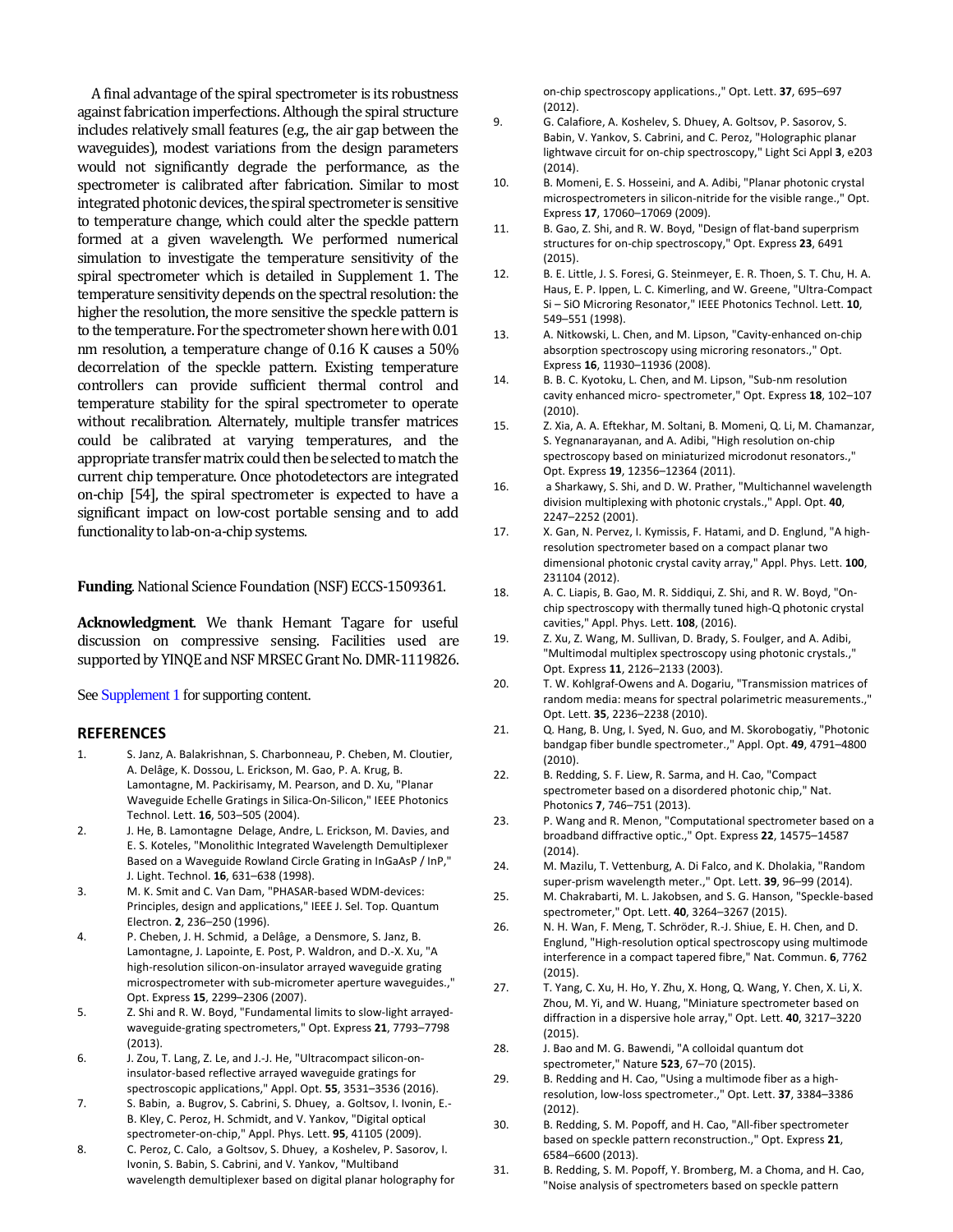A final advantage of the spiral spectrometer is its robustness against fabrication imperfections. Although the spiral structure includes relatively small features (e.g., the air gap between the waveguides), modest variations from the design parameters would not significantly degrade the performance, as the spectrometer is calibrated after fabrication. Similar to most integrated photonic devices, the spiral spectrometer is sensitive to temperature change, which could alter the speckle pattern formed at a given wavelength. We performed numerical simulation to investigate the temperature sensitivity of the spiral spectrometer which is detailed in Supplement 1. The temperature sensitivity depends on the spectral resolution: the higher the resolution, the more sensitive the speckle pattern is to the temperature. For the spectrometer shown here with  $0.01$ nm resolution, a temperature change of  $0.16$  K causes a  $50\%$ decorrelation of the speckle pattern. Existing temperature controllers can provide sufficient thermal control and temperature stability for the spiral spectrometer to operate without recalibration. Alternately, multiple transfer matrices could be calibrated at varying temperatures, and the appropriate transfer matrix could then be selected to match the current chip temperature. Once photodetectors are integrated on-chip [54], the spiral spectrometer is expected to have a significant impact on low-cost portable sensing and to add functionality to lab-on-a-chip systems.

**Funding**. National Science Foundation (NSF) ECCS-1509361.

**Acknowledgment**. We thank Hemant Tagare for useful discussion on compressive sensing. Facilities used are supported by YINQE and NSF MRSEC Grant No. DMR-1119826.

See Supplement 1 for supporting content.

# **REFERENCES**

- 1. S. Janz, A. Balakrishnan, S. Charbonneau, P. Cheben, M. Cloutier, A. Delâge, K. Dossou, L. Erickson, M. Gao, P. A. Krug, B. Lamontagne, M. Packirisamy, M. Pearson, and D. Xu, "Planar Waveguide Echelle Gratings in Silica‐On‐Silicon," IEEE Photonics Technol. Lett. **16**, 503–505 (2004).
- 2. J. He, B. Lamontagne Delage, Andre, L. Erickson, M. Davies, and E. S. Koteles, "Monolithic Integrated Wavelength Demultiplexer Based on a Waveguide Rowland Circle Grating in InGaAsP / InP," J. Light. Technol. **16**, 631–638 (1998).
- 3. M. K. Smit and C. Van Dam, "PHASAR-based WDM-devices: Principles, design and applications," IEEE J. Sel. Top. Quantum Electron. **2**, 236–250 (1996).
- 4. P. Cheben, J. H. Schmid, a Delâge, a Densmore, S. Janz, B. Lamontagne, J. Lapointe, E. Post, P. Waldron, and D.‐X. Xu, "A high-resolution silicon-on-insulator arrayed waveguide grating microspectrometer with sub-micrometer aperture waveguides.," Opt. Express **15**, 2299–2306 (2007).
- 5. Z. Shi and R. W. Boyd, "Fundamental limits to slow-light arrayedwaveguide‐grating spectrometers," Opt. Express **21**, 7793–7798 (2013).
- 6. J. Zou, T. Lang, Z. Le, and J.‐J. He, "Ultracompact silicon‐on‐ insulator‐based reflective arrayed waveguide gratings for spectroscopic applications," Appl. Opt. **55**, 3531–3536 (2016).
- 7. S. Babin, a. Bugrov, S. Cabrini, S. Dhuey, a. Goltsov, I. Ivonin, E.-B. Kley, C. Peroz, H. Schmidt, and V. Yankov, "Digital optical spectrometer‐on‐chip," Appl. Phys. Lett. **95**, 41105 (2009).
- 8. C. Peroz, C. Calo, a Goltsov, S. Dhuey, a Koshelev, P. Sasorov, I. Ivonin, S. Babin, S. Cabrini, and V. Yankov, "Multiband wavelength demultiplexer based on digital planar holography for

on‐chip spectroscopy applications.," Opt. Lett. **37**, 695–697 (2012).

- 9. G. Calafiore, A. Koshelev, S. Dhuey, A. Goltsov, P. Sasorov, S. Babin, V. Yankov, S. Cabrini, and C. Peroz, "Holographic planar lightwave circuit for on‐chip spectroscopy," Light Sci Appl **3**, e203 (2014).
- 10. B. Momeni, E. S. Hosseini, and A. Adibi, "Planar photonic crystal microspectrometers in silicon-nitride for the visible range.," Opt. Express **17**, 17060–17069 (2009).
- 11. B. Gao, Z. Shi, and R. W. Boyd, "Design of flat-band superprism structures for on‐chip spectroscopy," Opt. Express **23**, 6491 (2015).
- 12. B. E. Little, J. S. Foresi, G. Steinmeyer, E. R. Thoen, S. T. Chu, H. A. Haus, E. P. Ippen, L. C. Kimerling, and W. Greene, "Ultra‐Compact Si – SiO Microring Resonator," IEEE Photonics Technol. Lett. **10**, 549–551 (1998).
- 13. A. Nitkowski, L. Chen, and M. Lipson, "Cavity-enhanced on-chip absorption spectroscopy using microring resonators.," Opt. Express **16**, 11930–11936 (2008).
- 14. B. B. C. Kyotoku, L. Chen, and M. Lipson, "Sub-nm resolution cavity enhanced micro‐ spectrometer," Opt. Express **18**, 102–107 (2010).
- 15. Z. Xia, A. A. Eftekhar, M. Soltani, B. Momeni, Q. Li, M. Chamanzar, S. Yegnanarayanan, and A. Adibi, "High resolution on‐chip spectroscopy based on miniaturized microdonut resonators.," Opt. Express **19**, 12356–12364 (2011).
- 16. a Sharkawy, S. Shi, and D. W. Prather, "Multichannel wavelength division multiplexing with photonic crystals.," Appl. Opt. **40**, 2247–2252 (2001).
- 17. X. Gan, N. Pervez, I. Kymissis, F. Hatami, and D. Englund, "A highresolution spectrometer based on a compact planar two dimensional photonic crystal cavity array," Appl. Phys. Lett. **100**, 231104 (2012).
- 18. A. C. Liapis, B. Gao, M. R. Siddiqui, Z. Shi, and R. W. Boyd, "On‐ chip spectroscopy with thermally tuned high‐Q photonic crystal cavities," Appl. Phys. Lett. **108**, (2016).
- 19. Z. Xu, Z. Wang, M. Sullivan, D. Brady, S. Foulger, and A. Adibi, "Multimodal multiplex spectroscopy using photonic crystals.," Opt. Express **11**, 2126–2133 (2003).
- 20. T. W. Kohlgraf-Owens and A. Dogariu, "Transmission matrices of random media: means for spectral polarimetric measurements.," Opt. Lett. **35**, 2236–2238 (2010).
- 21. Q. Hang, B. Ung, I. Syed, N. Guo, and M. Skorobogatiy, "Photonic bandgap fiber bundle spectrometer.," Appl. Opt. **49**, 4791–4800 (2010).
- 22. B. Redding, S. F. Liew, R. Sarma, and H. Cao, "Compact spectrometer based on a disordered photonic chip," Nat. Photonics **7**, 746–751 (2013).
- 23. P. Wang and R. Menon, "Computational spectrometer based on a broadband diffractive optic.," Opt. Express **22**, 14575–14587 (2014).
- 24. M. Mazilu, T. Vettenburg, A. Di Falco, and K. Dholakia, "Random super‐prism wavelength meter.," Opt. Lett. **39**, 96–99 (2014).
- 25. M. Chakrabarti, M. L. Jakobsen, and S. G. Hanson, "Speckle‐based spectrometer," Opt. Lett. **40**, 3264–3267 (2015).
- 26. N. H. Wan, F. Meng, T. Schröder, R.-J. Shiue, E. H. Chen, and D. Englund, "High‐resolution optical spectroscopy using multimode interference in a compact tapered fibre," Nat. Commun. **6**, 7762 (2015).
- 27. T. Yang, C. Xu, H. Ho, Y. Zhu, X. Hong, Q. Wang, Y. Chen, X. Li, X. Zhou, M. Yi, and W. Huang, "Miniature spectrometer based on diffraction in a dispersive hole array," Opt. Lett. **40**, 3217–3220 (2015).
- 28. J. Bao and M. G. Bawendi, "A colloidal quantum dot spectrometer," Nature **523**, 67–70 (2015).
- 29. B. Redding and H. Cao, "Using a multimode fiber as a highresolution, low‐loss spectrometer.," Opt. Lett. **37**, 3384–3386 (2012).
- 30. B. Redding, S. M. Popoff, and H. Cao, "All-fiber spectrometer based on speckle pattern reconstruction.," Opt. Express **21**, 6584–6600 (2013).
- 31. B. Redding, S. M. Popoff, Y. Bromberg, M. a Choma, and H. Cao, "Noise analysis of spectrometers based on speckle pattern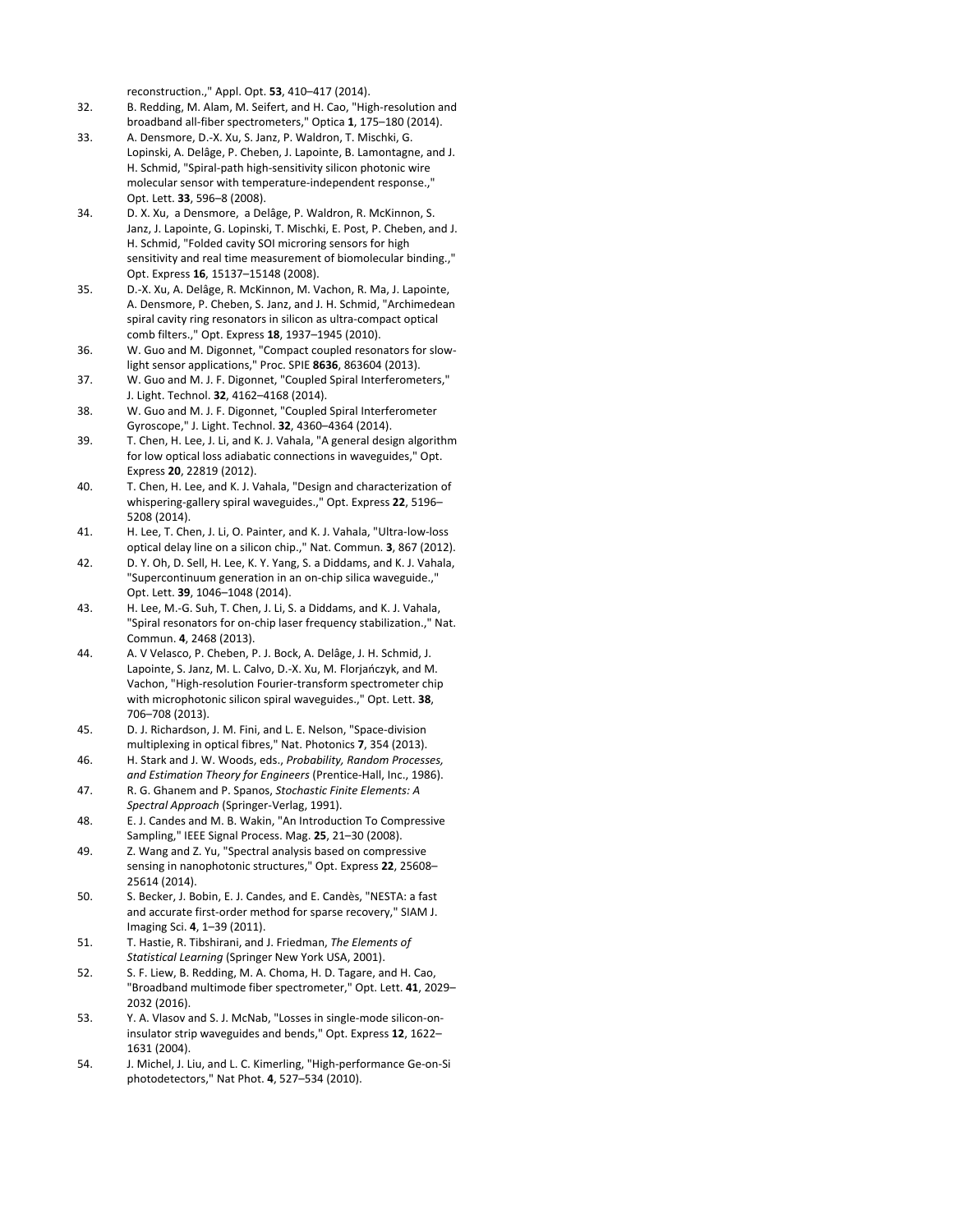reconstruction.," Appl. Opt. **53**, 410–417 (2014).

- 32. B. Redding, M. Alam, M. Seifert, and H. Cao, "High-resolution and broadband all‐fiber spectrometers," Optica **1**, 175–180 (2014).
- 33. A. Densmore, D.‐X. Xu, S. Janz, P. Waldron, T. Mischki, G. Lopinski, A. Delâge, P. Cheben, J. Lapointe, B. Lamontagne, and J. H. Schmid, "Spiral‐path high‐sensitivity silicon photonic wire molecular sensor with temperature-independent response.," Opt. Lett. **33**, 596–8 (2008).
- 34. D. X. Xu, a Densmore, a Delâge, P. Waldron, R. McKinnon, S. Janz, J. Lapointe, G. Lopinski, T. Mischki, E. Post, P. Cheben, and J. H. Schmid, "Folded cavity SOI microring sensors for high sensitivity and real time measurement of biomolecular binding.," Opt. Express **16**, 15137–15148 (2008).
- 35. D.‐X. Xu, A. Delâge, R. McKinnon, M. Vachon, R. Ma, J. Lapointe, A. Densmore, P. Cheben, S. Janz, and J. H. Schmid, "Archimedean spiral cavity ring resonators in silicon as ultra‐compact optical comb filters.," Opt. Express **18**, 1937–1945 (2010).
- 36. W. Guo and M. Digonnet, "Compact coupled resonators for slow‐ light sensor applications," Proc. SPIE **8636**, 863604 (2013).
- 37. W. Guo and M. J. F. Digonnet, "Coupled Spiral Interferometers," J. Light. Technol. **32**, 4162–4168 (2014).
- 38. W. Guo and M. J. F. Digonnet, "Coupled Spiral Interferometer Gyroscope," J. Light. Technol. **32**, 4360–4364 (2014).
- 39. T. Chen, H. Lee, J. Li, and K. J. Vahala, "A general design algorithm for low optical loss adiabatic connections in waveguides," Opt. Express **20**, 22819 (2012).
- 40. T. Chen, H. Lee, and K. J. Vahala, "Design and characterization of whispering‐gallery spiral waveguides.," Opt. Express **22**, 5196– 5208 (2014).
- 41. H. Lee, T. Chen, J. Li, O. Painter, and K. J. Vahala, "Ultra‐low‐loss optical delay line on a silicon chip.," Nat. Commun. **3**, 867 (2012).
- 42. D. Y. Oh, D. Sell, H. Lee, K. Y. Yang, S. a Diddams, and K. J. Vahala, "Supercontinuum generation in an on‐chip silica waveguide.," Opt. Lett. **39**, 1046–1048 (2014).
- 43. H. Lee, M.-G. Suh, T. Chen, J. Li, S. a Diddams, and K. J. Vahala, "Spiral resonators for on‐chip laser frequency stabilization.," Nat. Commun. **4**, 2468 (2013).
- 44. A. V Velasco, P. Cheben, P. J. Bock, A. Delâge, J. H. Schmid, J. Lapointe, S. Janz, M. L. Calvo, D.‐X. Xu, M. Florjańczyk, and M. Vachon, "High‐resolution Fourier‐transform spectrometer chip with microphotonic silicon spiral waveguides.," Opt. Lett. **38**, 706–708 (2013).
- 45. D. J. Richardson, J. M. Fini, and L. E. Nelson, "Space-division multiplexing in optical fibres," Nat. Photonics **7**, 354 (2013).
- 46. H. Stark and J. W. Woods, eds., *Probability, Random Processes, and Estimation Theory for Engineers* (Prentice‐Hall, Inc., 1986).
- 47. R. G. Ghanem and P. Spanos, *Stochastic Finite Elements: A Spectral Approach* (Springer‐Verlag, 1991).
- 48. E. J. Candes and M. B. Wakin, "An Introduction To Compressive Sampling," IEEE Signal Process. Mag. **25**, 21–30 (2008).
- 49. Z. Wang and Z. Yu, "Spectral analysis based on compressive sensing in nanophotonic structures," Opt. Express **22**, 25608– 25614 (2014).
- 50. S. Becker, J. Bobin, E. J. Candes, and E. Candès, "NESTA: a fast and accurate first-order method for sparse recovery," SIAM J. Imaging Sci. **4**, 1–39 (2011).
- 51. T. Hastie, R. Tibshirani, and J. Friedman, *The Elements of Statistical Learning* (Springer New York USA, 2001).
- 52. S. F. Liew, B. Redding, M. A. Choma, H. D. Tagare, and H. Cao, "Broadband multimode fiber spectrometer," Opt. Lett. **41**, 2029– 2032 (2016).
- 53. Y. A. Vlasov and S. J. McNab, "Losses in single-mode silicon-oninsulator strip waveguides and bends," Opt. Express **12**, 1622– 1631 (2004).
- 54. J. Michel, J. Liu, and L. C. Kimerling, "High‐performance Ge‐on‐Si photodetectors," Nat Phot. **4**, 527–534 (2010).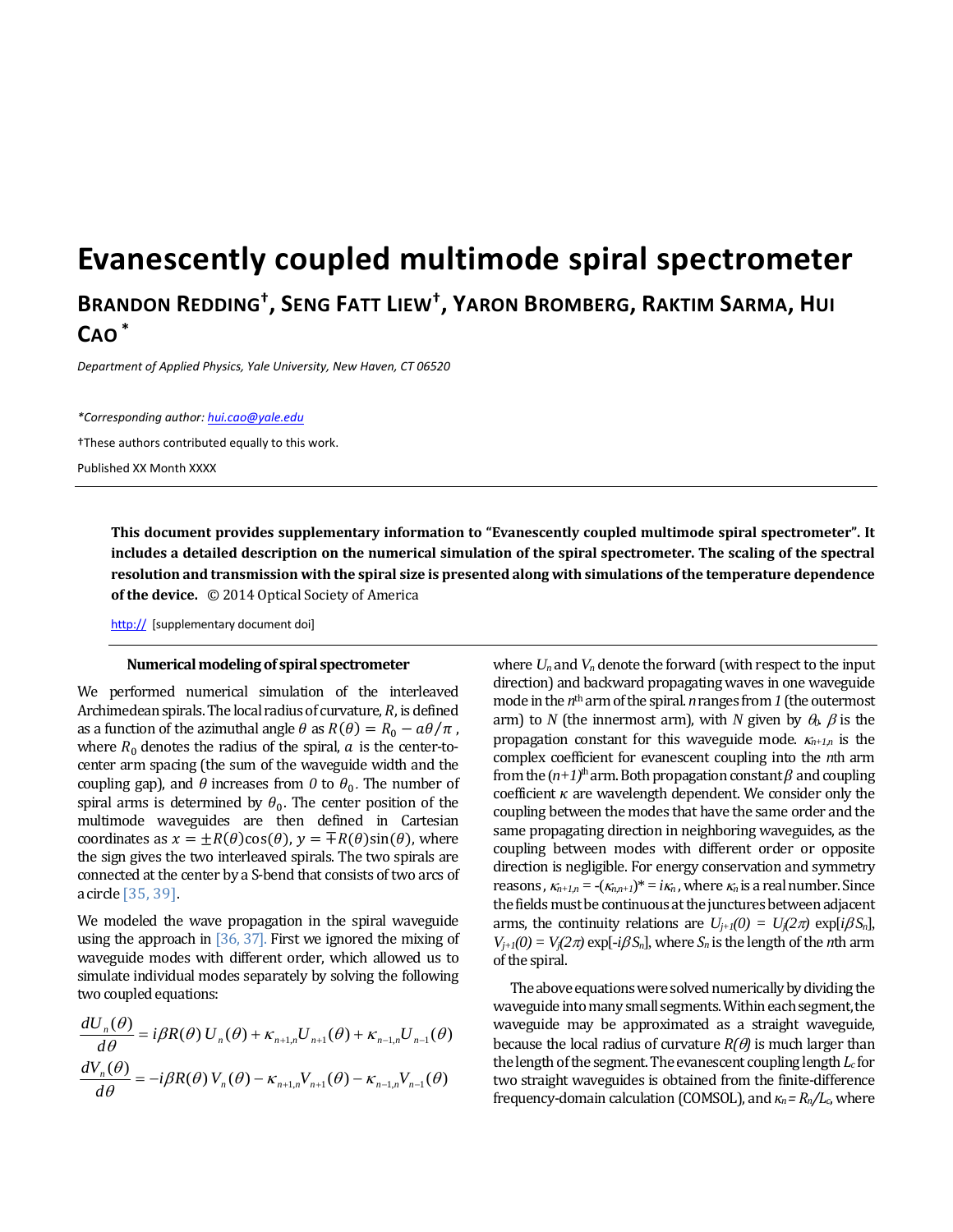# **Evanescently coupled multimode spiral spectrometer**

# **BRANDON REDDING† , SENG FATT LIEW† , YARON BROMBERG, RAKTIM SARMA, HUI CAO \***

*Department of Applied Physics, Yale University, New Haven, CT 06520*

*\*Corresponding author: hui.cao@yale.edu*  †These authors contributed equally to this work. Published XX Month XXXX

> **This document provides supplementary information to "Evanescently coupled multimode spiral spectrometer". It** includes a detailed description on the numerical simulation of the spiral spectrometer. The scaling of the spectral **resolution and transmission with the spiral size is presented along with simulations ofthe temperature dependence of the device.** © 2014 Optical Society of America

http:// [supplementary document doi]

### **Numericalmodelingof spiral spectrometer**

We performed numerical simulation of the interleaved Archimedean spirals. The local radius of curvature,  $R$ , is defined as a function of the azimuthal angle  $\theta$  as  $R(\theta) = R_0 - a\theta/\pi$ , where  $R_0$  denotes the radius of the spiral,  $\alpha$  is the center-tocenter arm spacing (the sum of the waveguide width and the coupling gap), and  $\theta$  increases from  $\theta$  to  $\theta_0$ . The number of spiral arms is determined by  $\theta_0$ . The center position of the multimode waveguides are then defined in Cartesian coordinates as  $x = \pm R(\theta)\cos(\theta)$ ,  $y = \pm R(\theta)\sin(\theta)$ , where the sign gives the two interleaved spirals. The two spirals are connected at the center by a S-bend that consists of two arcs of a circle [35, 39]. 

We modeled the wave propagation in the spiral waveguide using the approach in  $[36, 37]$ . First we ignored the mixing of waveguide modes with different order, which allowed us to simulate individual modes separately by solving the following two coupled equations:

$$
\frac{dU_n(\theta)}{d\theta} = i\beta R(\theta) U_n(\theta) + \kappa_{n+1,n} U_{n+1}(\theta) + \kappa_{n-1,n} U_{n-1}(\theta)
$$

$$
\frac{dV_n(\theta)}{d\theta} = -i\beta R(\theta) V_n(\theta) - \kappa_{n+1,n} V_{n+1}(\theta) - \kappa_{n-1,n} V_{n-1}(\theta)
$$

where  $U_n$  and  $V_n$  denote the forward (with respect to the input direction) and backward propagating waves in one waveguide mode in the  $n<sup>th</sup>$  arm of the spiral.  $n$  ranges from  $1$  (the outermost arm) to *N* (the innermost arm), with *N* given by  $\theta_0$ .  $\beta$  is the propagation constant for this waveguide mode.  $\kappa_{n+1,n}$  is the complex coefficient for evanescent coupling into the *n*th arm from the  $(n+1)$ <sup>th</sup> arm. Both propagation constant  $\beta$  and coupling coefficient  $\kappa$  are wavelength dependent. We consider only the coupling between the modes that have the same order and the same propagating direction in neighboring waveguides, as the coupling between modes with different order or opposite direction is negligible. For energy conservation and symmetry reasons,  $\kappa_{n+1,n} = -(\kappa_{n,n+1})^* = i\kappa_n$ , where  $\kappa_n$  is a real number. Since the fields must be continuous at the junctures between adjacent arms, the continuity relations are  $U_{j+1}(0) = U_j(2\pi) \exp[i\beta S_n]$ ,  $V_{j+1}(0) = V_j(2\pi) \exp[-i\beta S_n]$ , where  $S_n$  is the length of the *n*th arm of the spiral.

The above equations were solved numerically by dividing the waveguide into many small segments. Within each segment, the waveguide may be approximated as a straight waveguide, because the local radius of curvature  $R(\theta)$  is much larger than the length of the segment. The evanescent coupling length  $L_c$  for two straight waveguides is obtained from the finite-difference frequency‐domain calculation (COMSOL), and *κn= Rn/Lc*, where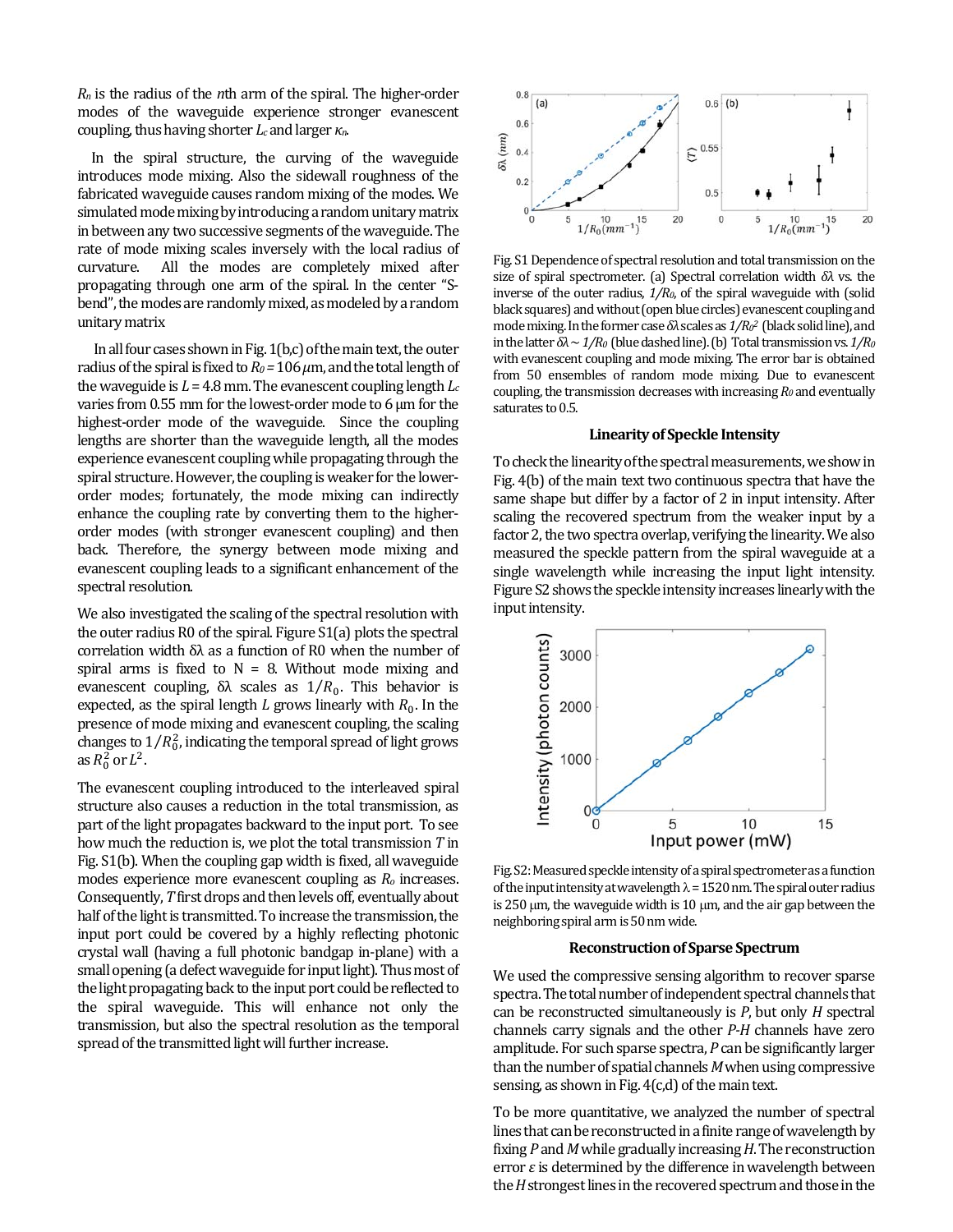$R_n$  is the radius of the *n*th arm of the spiral. The higher-order modes of the waveguide experience stronger evanescent coupling, thus having shorter *L<sub>c</sub>* and larger *κ<sub>n</sub>*.

In the spiral structure, the curving of the waveguide introduces mode mixing. Also the sidewall roughness of the fabricated waveguide causes random mixing of the modes. We simulated mode mixing by introducing a random unitary matrix in between any two successive segments of the waveguide. The rate of mode mixing scales inversely with the local radius of curvature. All the modes are completely mixed after propagating through one arm of the spiral. In the center "Sbend", the modes are randomly mixed, as modeled by a random unitary matrix 

In all four cases shown in Fig.  $1(b,c)$  of the main text, the outer radius of the spiral is fixed to  $R_0$  = 106  $\mu$ m, and the total length of the waveguide is  $L = 4.8$  mm. The evanescent coupling length  $L_c$ varies from  $0.55$  mm for the lowest-order mode to 6  $\mu$ m for the highest-order mode of the waveguide. Since the coupling lengths are shorter than the waveguide length, all the modes experience evanescent coupling while propagating through the spiral structure. However, the coupling is weaker for the lowerorder modes; fortunately, the mode mixing can indirectly enhance the coupling rate by converting them to the higherorder modes (with stronger evanescent coupling) and then back. Therefore, the synergy between mode mixing and evanescent coupling leads to a significant enhancement of the spectral resolution.

We also investigated the scaling of the spectral resolution with the outer radius  $R0$  of the spiral. Figure  $S1(a)$  plots the spectral correlation width  $\delta\lambda$  as a function of R0 when the number of spiral arms is fixed to  $N = 8$ . Without mode mixing and evanescent coupling, δλ scales as  $1/R_0$ . This behavior is expected, as the spiral length *L* grows linearly with  $R_0$ . In the presence of mode mixing and evanescent coupling, the scaling changes to  $1/R_0^2$ , indicating the temporal spread of light grows as  $R_0^2$  or  $L^2$ .

The evanescent coupling introduced to the interleaved spiral structure also causes a reduction in the total transmission, as part of the light propagates backward to the input port. To see how much the reduction is, we plot the total transmission *T* in Fig. S1(b). When the coupling gap width is fixed, all waveguide modes experience more evanescent coupling as  $R_0$  increases. Consequently, *T* first drops and then levels off, eventually about half of the light is transmitted. To increase the transmission, the input port could be covered by a highly reflecting photonic crystal wall (having a full photonic bandgap in-plane) with a small opening (a defect waveguide for input light). Thus most of the light propagating back to the input port could be reflected to the spiral waveguide. This will enhance not only the transmission, but also the spectral resolution as the temporal spread of the transmitted light will further increase.



Fig. S1 Dependence of spectral resolution and total transmission on the size of spiral spectrometer. (a) Spectral correlation width *δλ* vs. the inverse of the outer radius,  $1/R_0$ , of the spiral waveguide with (solid black squares) and without (open blue circles) evanescent coupling and mode mixing. In the former case δλ scales as  $1/R<sub>0</sub><sup>2</sup>$  (black solid line), and in the latter  $\delta\lambda \sim 1/R_0$  (blue dashed line). (b) Total transmission vs.  $1/R_0$ with evanescent coupling and mode mixing. The error bar is obtained from 50 ensembles of random mode mixing. Due to evanescent coupling, the transmission decreases with increasing  $R_0$  and eventually saturates to 0.5.

### **Linearityof Speckle Intensity**

To check the linearity of the spectral measurements, we show in Fig.  $4(b)$  of the main text two continuous spectra that have the same shape but differ by a factor of 2 in input intensity. After scaling the recovered spectrum from the weaker input by a factor 2, the two spectra overlap, verifying the linearity. We also measured the speckle pattern from the spiral waveguide at a single wavelength while increasing the input light intensity. Figure S2 shows the speckle intensity increases linearly with the input intensity.



Fig. S2: Measured speckle intensity of a spiral spectrometer as a function of the input intensity at wavelength  $\lambda$  = 1520 nm. The spiral outer radius is  $250 \mu m$ , the waveguide width is  $10 \mu m$ , and the air gap between the neighboring spiral arm is 50 nm wide.

### **Reconstructionof Sparse Spectrum**

We used the compressive sensing algorithm to recover sparse spectra. The total number of independent spectral channels that can be reconstructed simultaneously is *P*, but only *H* spectral channels carry signals and the other *P*-*H* channels have zero amplitude. For such sparse spectra, *P* can be significantly larger than the number of spatial channels *M* when using compressive sensing, as shown in Fig.  $4(c,d)$  of the main text.

To be more quantitative, we analyzed the number of spectral lines that can be reconstructed in a finite range of wavelength by fixing *P* and *M* while gradually increasing *H*. The reconstruction error  $\varepsilon$  is determined by the difference in wavelength between the *H* strongest lines in the recovered spectrum and those in the